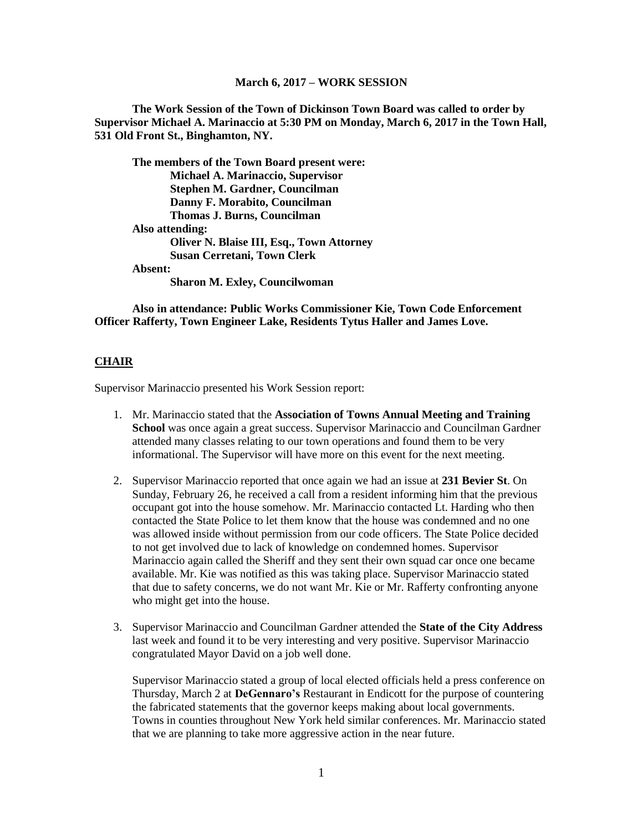**The Work Session of the Town of Dickinson Town Board was called to order by Supervisor Michael A. Marinaccio at 5:30 PM on Monday, March 6, 2017 in the Town Hall, 531 Old Front St., Binghamton, NY.**

**The members of the Town Board present were: Michael A. Marinaccio, Supervisor Stephen M. Gardner, Councilman Danny F. Morabito, Councilman Thomas J. Burns, Councilman Also attending: Oliver N. Blaise III, Esq., Town Attorney Susan Cerretani, Town Clerk Absent: Sharon M. Exley, Councilwoman**

**Also in attendance: Public Works Commissioner Kie, Town Code Enforcement Officer Rafferty, Town Engineer Lake, Residents Tytus Haller and James Love.**

#### **CHAIR**

Supervisor Marinaccio presented his Work Session report:

- 1. Mr. Marinaccio stated that the **Association of Towns Annual Meeting and Training School** was once again a great success. Supervisor Marinaccio and Councilman Gardner attended many classes relating to our town operations and found them to be very informational. The Supervisor will have more on this event for the next meeting.
- 2. Supervisor Marinaccio reported that once again we had an issue at **231 Bevier St**. On Sunday, February 26, he received a call from a resident informing him that the previous occupant got into the house somehow. Mr. Marinaccio contacted Lt. Harding who then contacted the State Police to let them know that the house was condemned and no one was allowed inside without permission from our code officers. The State Police decided to not get involved due to lack of knowledge on condemned homes. Supervisor Marinaccio again called the Sheriff and they sent their own squad car once one became available. Mr. Kie was notified as this was taking place. Supervisor Marinaccio stated that due to safety concerns, we do not want Mr. Kie or Mr. Rafferty confronting anyone who might get into the house.
- 3. Supervisor Marinaccio and Councilman Gardner attended the **State of the City Address** last week and found it to be very interesting and very positive. Supervisor Marinaccio congratulated Mayor David on a job well done.

Supervisor Marinaccio stated a group of local elected officials held a press conference on Thursday, March 2 at **DeGennaro's** Restaurant in Endicott for the purpose of countering the fabricated statements that the governor keeps making about local governments. Towns in counties throughout New York held similar conferences. Mr. Marinaccio stated that we are planning to take more aggressive action in the near future.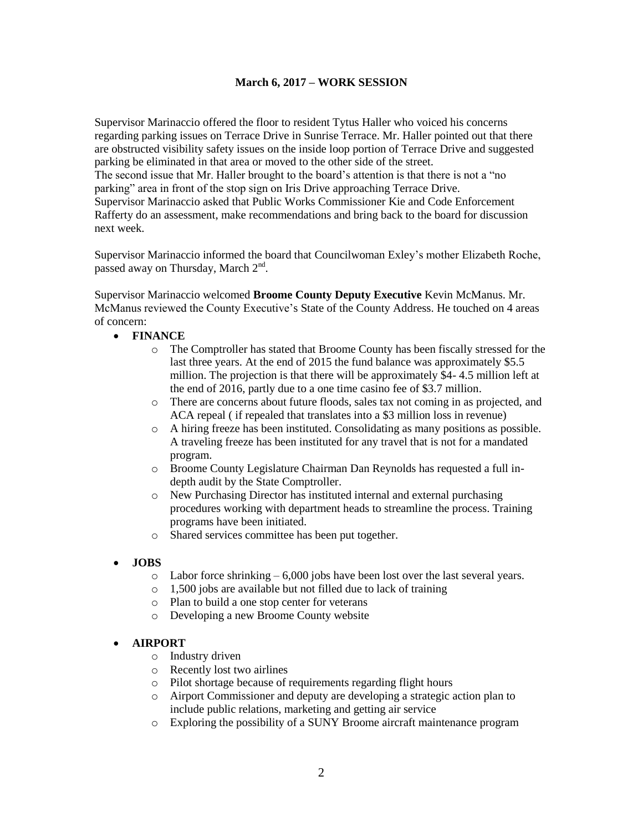Supervisor Marinaccio offered the floor to resident Tytus Haller who voiced his concerns regarding parking issues on Terrace Drive in Sunrise Terrace. Mr. Haller pointed out that there are obstructed visibility safety issues on the inside loop portion of Terrace Drive and suggested parking be eliminated in that area or moved to the other side of the street. The second issue that Mr. Haller brought to the board's attention is that there is not a "no parking" area in front of the stop sign on Iris Drive approaching Terrace Drive. Supervisor Marinaccio asked that Public Works Commissioner Kie and Code Enforcement Rafferty do an assessment, make recommendations and bring back to the board for discussion next week.

Supervisor Marinaccio informed the board that Councilwoman Exley's mother Elizabeth Roche, passed away on Thursday, March 2<sup>nd</sup>.

Supervisor Marinaccio welcomed **Broome County Deputy Executive** Kevin McManus. Mr. McManus reviewed the County Executive's State of the County Address. He touched on 4 areas of concern:

- **FINANCE**
	- o The Comptroller has stated that Broome County has been fiscally stressed for the last three years. At the end of 2015 the fund balance was approximately \$5.5 million. The projection is that there will be approximately \$4- 4.5 million left at the end of 2016, partly due to a one time casino fee of \$3.7 million.
	- o There are concerns about future floods, sales tax not coming in as projected, and ACA repeal ( if repealed that translates into a \$3 million loss in revenue)
	- o A hiring freeze has been instituted. Consolidating as many positions as possible. A traveling freeze has been instituted for any travel that is not for a mandated program.
	- o Broome County Legislature Chairman Dan Reynolds has requested a full indepth audit by the State Comptroller.
	- o New Purchasing Director has instituted internal and external purchasing procedures working with department heads to streamline the process. Training programs have been initiated.
	- o Shared services committee has been put together.

## **JOBS**

- o Labor force shrinking 6,000 jobs have been lost over the last several years.
- o 1,500 jobs are available but not filled due to lack of training
- o Plan to build a one stop center for veterans
- o Developing a new Broome County website

#### **AIRPORT**

- o Industry driven
- o Recently lost two airlines
- o Pilot shortage because of requirements regarding flight hours
- o Airport Commissioner and deputy are developing a strategic action plan to include public relations, marketing and getting air service
- o Exploring the possibility of a SUNY Broome aircraft maintenance program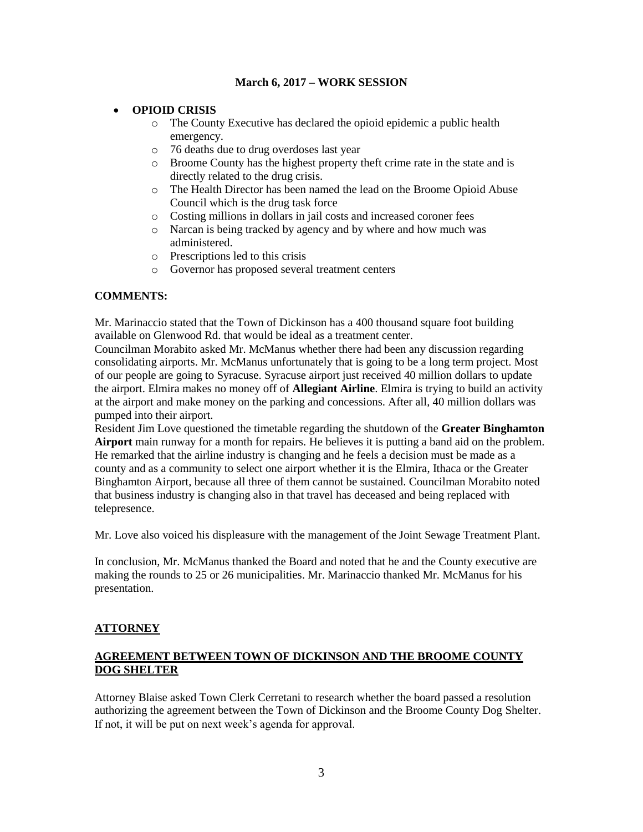## **OPIOID CRISIS**

- o The County Executive has declared the opioid epidemic a public health emergency.
- o 76 deaths due to drug overdoses last year
- o Broome County has the highest property theft crime rate in the state and is directly related to the drug crisis.
- o The Health Director has been named the lead on the Broome Opioid Abuse Council which is the drug task force
- o Costing millions in dollars in jail costs and increased coroner fees
- o Narcan is being tracked by agency and by where and how much was administered.
- o Prescriptions led to this crisis
- o Governor has proposed several treatment centers

#### **COMMENTS:**

Mr. Marinaccio stated that the Town of Dickinson has a 400 thousand square foot building available on Glenwood Rd. that would be ideal as a treatment center.

Councilman Morabito asked Mr. McManus whether there had been any discussion regarding consolidating airports. Mr. McManus unfortunately that is going to be a long term project. Most of our people are going to Syracuse. Syracuse airport just received 40 million dollars to update the airport. Elmira makes no money off of **Allegiant Airline**. Elmira is trying to build an activity at the airport and make money on the parking and concessions. After all, 40 million dollars was pumped into their airport.

Resident Jim Love questioned the timetable regarding the shutdown of the **Greater Binghamton Airport** main runway for a month for repairs. He believes it is putting a band aid on the problem. He remarked that the airline industry is changing and he feels a decision must be made as a county and as a community to select one airport whether it is the Elmira, Ithaca or the Greater Binghamton Airport, because all three of them cannot be sustained. Councilman Morabito noted that business industry is changing also in that travel has deceased and being replaced with telepresence.

Mr. Love also voiced his displeasure with the management of the Joint Sewage Treatment Plant.

In conclusion, Mr. McManus thanked the Board and noted that he and the County executive are making the rounds to 25 or 26 municipalities. Mr. Marinaccio thanked Mr. McManus for his presentation.

## **ATTORNEY**

## **AGREEMENT BETWEEN TOWN OF DICKINSON AND THE BROOME COUNTY DOG SHELTER**

Attorney Blaise asked Town Clerk Cerretani to research whether the board passed a resolution authorizing the agreement between the Town of Dickinson and the Broome County Dog Shelter. If not, it will be put on next week's agenda for approval.